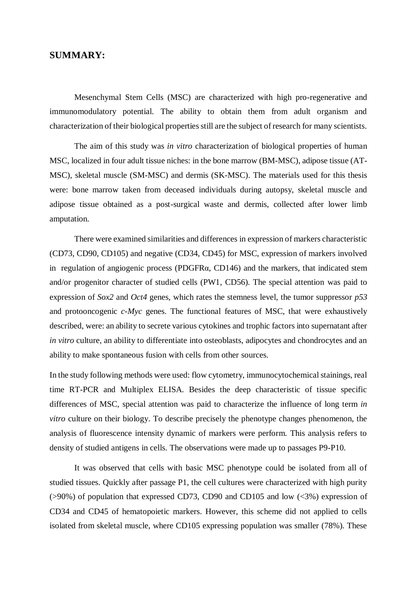## **SUMMARY:**

Mesenchymal Stem Cells (MSC) are characterized with high pro-regenerative and immunomodulatory potential. The ability to obtain them from adult organism and characterization of their biological properties still are the subject of research for many scientists.

The aim of this study was *in vitro* characterization of biological properties of human MSC, localized in four adult tissue niches: in the bone marrow (BM-MSC), adipose tissue (AT-MSC), skeletal muscle (SM-MSC) and dermis (SK-MSC). The materials used for this thesis were: bone marrow taken from deceased individuals during autopsy, skeletal muscle and adipose tissue obtained as a post-surgical waste and dermis, collected after lower limb amputation.

There were examined similarities and differences in expression of markers characteristic (CD73, CD90, CD105) and negative (CD34, CD45) for MSC, expression of markers involved in regulation of angiogenic process (PDGFRα, CD146) and the markers, that indicated stem and/or progenitor character of studied cells (PW1, CD56). The special attention was paid to expression of *Sox2* and *Oct4* genes, which rates the stemness level, the tumor suppressor *p53* and protooncogenic *c-Myc* genes. The functional features of MSC, that were exhaustively described, were: an ability to secrete various cytokines and trophic factors into supernatant after *in vitro* culture, an ability to differentiate into osteoblasts, adipocytes and chondrocytes and an ability to make spontaneous fusion with cells from other sources.

In the study following methods were used: flow cytometry, immunocytochemical stainings, real time RT-PCR and Multiplex ELISA. Besides the deep characteristic of tissue specific differences of MSC, special attention was paid to characterize the influence of long term *in vitro* culture on their biology. To describe precisely the phenotype changes phenomenon, the analysis of fluorescence intensity dynamic of markers were perform. This analysis refers to density of studied antigens in cells. The observations were made up to passages P9-P10.

It was observed that cells with basic MSC phenotype could be isolated from all of studied tissues. Quickly after passage P1, the cell cultures were characterized with high purity (>90%) of population that expressed CD73, CD90 and CD105 and low (<3%) expression of CD34 and CD45 of hematopoietic markers. However, this scheme did not applied to cells isolated from skeletal muscle, where CD105 expressing population was smaller (78%). These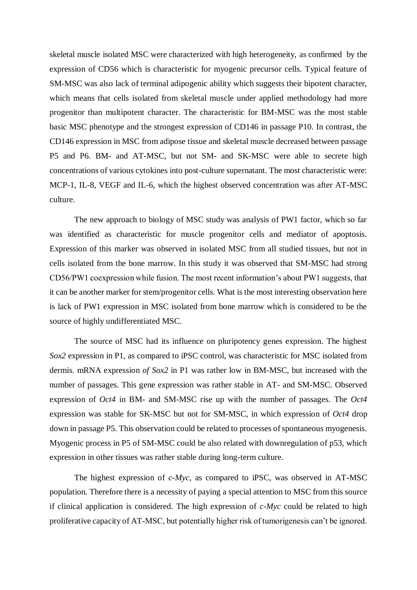skeletal muscle isolated MSC were characterized with high heterogeneity, as confirmed by the expression of CD56 which is characteristic for myogenic precursor cells. Typical feature of SM-MSC was also lack of terminal adipogenic ability which suggests their bipotent character, which means that cells isolated from skeletal muscle under applied methodology had more progenitor than multipotent character. The characteristic for BM-MSC was the most stable basic MSC phenotype and the strongest expression of CD146 in passage P10. In contrast, the CD146 expression in MSC from adipose tissue and skeletal muscle decreased between passage P5 and P6. BM- and AT-MSC, but not SM- and SK-MSC were able to secrete high concentrations of various cytokines into post-culture supernatant. The most characteristic were: MCP-1, IL-8, VEGF and IL-6, which the highest observed concentration was after AT-MSC culture.

The new approach to biology of MSC study was analysis of PW1 factor, which so far was identified as characteristic for muscle progenitor cells and mediator of apoptosis. Expression of this marker was observed in isolated MSC from all studied tissues, but not in cells isolated from the bone marrow. In this study it was observed that SM-MSC had strong CD56/PW1 coexpression while fusion. The most recent information's about PW1 suggests, that it can be another marker for stem/progenitor cells. What is the most interesting observation here is lack of PW1 expression in MSC isolated from bone marrow which is considered to be the source of highly undifferentiated MSC.

The source of MSC had its influence on pluripotency genes expression. The highest *Sox2* expression in P1, as compared to iPSC control, was characteristic for MSC isolated from dermis. mRNA expression *of Sox2* in P1 was rather low in BM-MSC, but increased with the number of passages. This gene expression was rather stable in AT- and SM-MSC. Observed expression of *Oct4* in BM- and SM-MSC rise up with the number of passages. The *Oct4* expression was stable for SK-MSC but not for SM-MSC, in which expression of *Oct4* drop down in passage P5. This observation could be related to processes of spontaneous myogenesis. Myogenic process in P5 of SM-MSC could be also related with downregulation of p53, which expression in other tissues was rather stable during long-term culture.

The highest expression of *c-Myc*, as compared to iPSC, was observed in AT-MSC population. Therefore there is a necessity of paying a special attention to MSC from this source if clinical application is considered. The high expression of *c-Myc* could be related to high proliferative capacity of AT-MSC, but potentially higher risk of tumorigenesis can't be ignored.